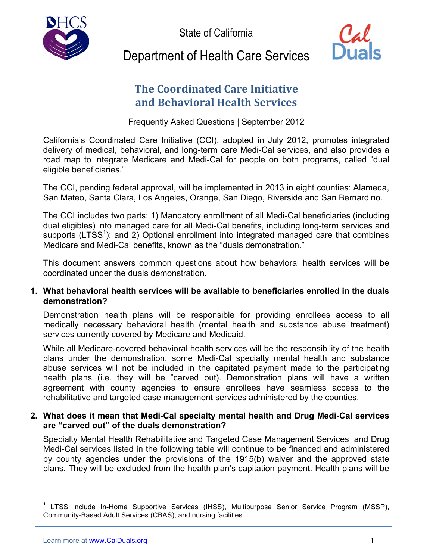State of California





# Department of Health Care Services

# **The Coordinated Care Initiative and Behavioral Health Services**

Frequently Asked Questions | September 2012

 California's Coordinated Care Initiative (CCI), adopted in July 2012, promotes integrated delivery of medical, behavioral, and long-term care Medi-Cal services, and also provides a road map to integrate Medicare and Medi-Cal for people on both programs, called "dual eligible beneficiaries."

eligible beneficiaries."<br>The CCI, pending federal approval, will be implemented in 2013 in eight counties: Alameda, San Mateo, Santa Clara, Los Angeles, Orange, San Diego, Riverside and San Bernardino.

 The CCI includes two parts: 1) Mandatory enrollment of all Medi-Cal beneficiaries (including dual eligibles) into managed care for all Medi-Cal benefits, including long-term services and supports  $(LTSS<sup>1</sup>)$ ; and 2) Optional enrollment into integrated managed care that combines Medicare and Medi-Cal benefits, known as the "duals demonstration."

 This document answers common questions about how behavioral health services will be coordinated under the duals demonstration.

# **1. What behavioral health services will be available to beneficiaries enrolled in the duals demonstration?**

 Demonstration health plans will be responsible for providing enrollees access to all medically necessary behavioral health (mental health and substance abuse treatment) services currently covered by Medicare and Medicaid.

 While all Medicare-covered behavioral health services will be the responsibility of the health plans under the demonstration, some Medi-Cal specialty mental health and substance abuse services will not be included in the capitated payment made to the participating health plans (i.e. they will be "carved out). Demonstration plans will have a written agreement with county agencies to ensure enrollees have seamless access to the rehabilitative and targeted case management services administered by the counties.

# **2. What does it mean that Medi-Cal specialty mental health and Drug Medi-Cal services are "carved out" of the duals demonstration?**

 Specialty Mental Health Rehabilitative and Targeted Case Management Services and Drug Medi-Cal services listed in the following table will continue to be financed and administered by county agencies under the provisions of the 1915(b) waiver and the approved state plans. They will be excluded from the health plan's capitation payment. Health plans will be

<sup>1</sup>  Community-Based Adult Services (CBAS), and nursing facilities.  $<sup>1</sup>$  LTSS include In-Home Supportive Services (IHSS), Multipurpose Senior Service Program (MSSP),</sup>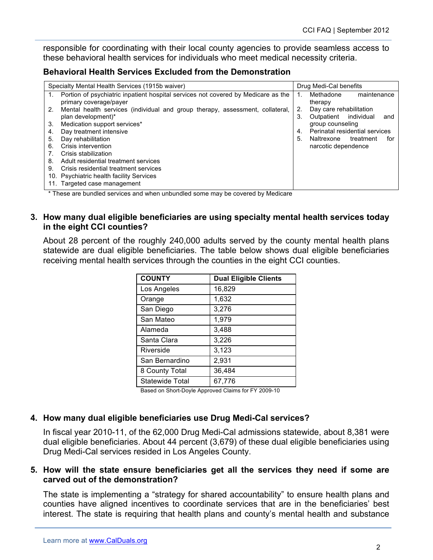responsible for coordinating with their local county agencies to provide seamless access to these behavioral health services for individuals who meet medical necessity criteria.

#### **Behavioral Health Services Excluded from the Demonstration**

| Specialty Mental Health Services (1915b waiver) |                                                                                                             |    | Drug Medi-Cal benefits              |  |
|-------------------------------------------------|-------------------------------------------------------------------------------------------------------------|----|-------------------------------------|--|
|                                                 | Portion of psychiatric inpatient hospital services not covered by Medicare as the<br>primary coverage/payer | 1. | Methadone<br>maintenance<br>therapy |  |
| 2.                                              | Mental health services (individual and group therapy, assessment, collateral,                               | 2. | Day care rehabilitation             |  |
|                                                 | plan development)*                                                                                          | 3. | individual<br>Outpatient<br>and     |  |
| 3.                                              | Medication support services*                                                                                |    | group counseling                    |  |
| 4.                                              | Day treatment intensive                                                                                     | 4. | Perinatal residential services      |  |
| 5.                                              | Day rehabilitation                                                                                          | 5. | Naltrexone<br>treatment<br>for      |  |
| 6.                                              | Crisis intervention                                                                                         |    | narcotic dependence                 |  |
|                                                 | Crisis stabilization                                                                                        |    |                                     |  |
| 8.                                              | Adult residential treatment services                                                                        |    |                                     |  |
| 9.                                              | Crisis residential treatment services                                                                       |    |                                     |  |
|                                                 | 10. Psychiatric health facility Services                                                                    |    |                                     |  |
|                                                 | 11. Targeted case management                                                                                |    |                                     |  |

\* These are bundled services and when unbundled some may be covered by Medicare

## **3. How many dual eligible beneficiaries are using specialty mental health services today in the eight CCI counties?**

 About 28 percent of the roughly 240,000 adults served by the county mental health plans statewide are dual eligible beneficiaries. The table below shows dual eligible beneficiaries receiving mental health services through the counties in the eight CCI counties.

| <b>COUNTY</b>          | <b>Dual Eligible Clients</b> |
|------------------------|------------------------------|
| Los Angeles            | 16,829                       |
| Orange                 | 1,632                        |
| San Diego              | 3,276                        |
| San Mateo              | 1,979                        |
| Alameda                | 3,488                        |
| Santa Clara            | 3,226                        |
| Riverside              | 3,123                        |
| San Bernardino         | 2,931                        |
| 8 County Total         | 36,484                       |
| <b>Statewide Total</b> | 67,776                       |

Based on Short-Doyle Approved Claims for FY 2009-10

# **4. How many dual eligible beneficiaries use Drug Medi-Cal services?**

 In fiscal year 2010-11, of the 62,000 Drug Medi-Cal admissions statewide, about 8,381 were dual eligible beneficiaries. About 44 percent (3,679) of these dual eligible beneficiaries using Drug Medi-Cal services resided in Los Angeles County.

### **5. How will the state ensure beneficiaries get all the services they need if some are carved out of the demonstration?**

 The state is implementing a "strategy for shared accountability" to ensure health plans and counties have aligned incentives to coordinate services that are in the beneficiaries' best interest. The state is requiring that health plans and county's mental health and substance